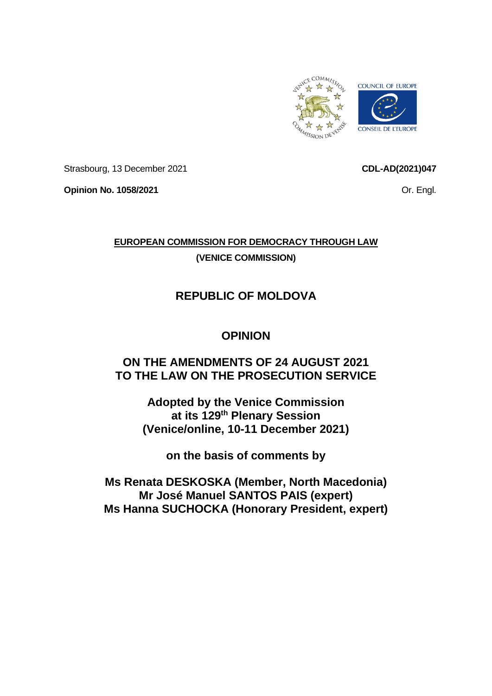

Strasbourg, 13 December 2021

**CDL-AD(2021)047**

**Opinion No. 1058/2021**

Or. Engl.

## **EUROPEAN COMMISSION FOR DEMOCRACY THROUGH LAW (VENICE COMMISSION)**

# **REPUBLIC OF MOLDOVA**

## **OPINION**

## **ON THE AMENDMENTS OF 24 AUGUST 2021 TO THE LAW ON THE PROSECUTION SERVICE**

**Adopted by the Venice Commission at its 129 th Plenary Session (Venice/online, 10-11 December 2021)**

**on the basis of comments by**

**Ms Renata DESKOSKA (Member, North Macedonia) Mr José Manuel SANTOS PAIS (expert) Ms Hanna SUCHOCKA (Honorary President, expert)**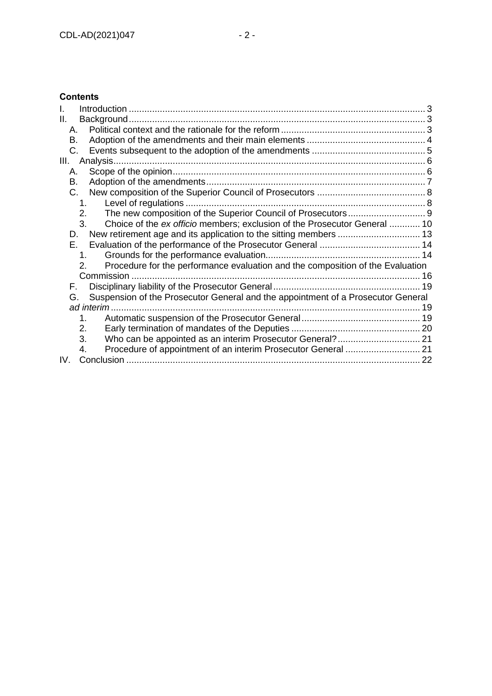## **Contents**

| Ш.                                                                                     |    |
|----------------------------------------------------------------------------------------|----|
| А.                                                                                     |    |
| В.                                                                                     |    |
| C.                                                                                     |    |
| Ш.<br>Analysis                                                                         |    |
| А.                                                                                     |    |
| В.                                                                                     |    |
| C.                                                                                     |    |
| 1 <sup>1</sup>                                                                         |    |
| 2.                                                                                     |    |
| 3.<br>Choice of the ex officio members; exclusion of the Prosecutor General  10        |    |
| D.                                                                                     |    |
| Е.                                                                                     |    |
| 1.                                                                                     |    |
| Procedure for the performance evaluation and the composition of the Evaluation         |    |
| Commission                                                                             |    |
| F.                                                                                     |    |
| Suspension of the Prosecutor General and the appointment of a Prosecutor General<br>G. |    |
| ad interim                                                                             | 19 |
| 1.                                                                                     |    |
| 2.                                                                                     |    |
| 3.                                                                                     |    |
| 4.                                                                                     |    |
| IV.                                                                                    |    |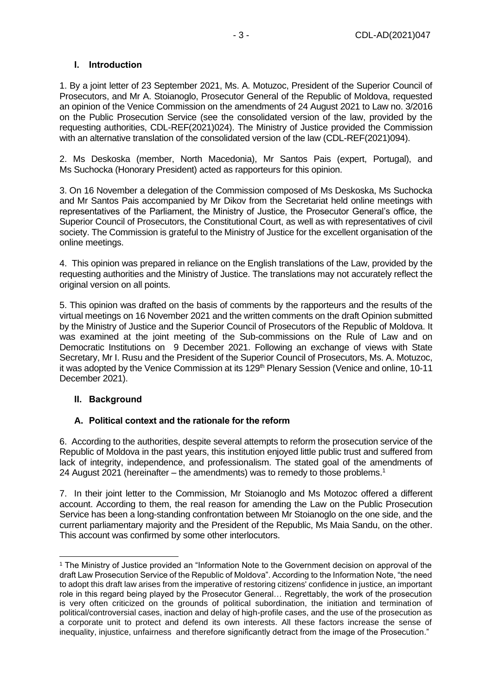#### <span id="page-2-0"></span>**I. Introduction**

1. By a joint letter of 23 September 2021, Ms. A. Motuzoc, President of the Superior Council of Prosecutors, and Mr A. Stoianoglo, Prosecutor General of the Republic of Moldova, requested an opinion of the Venice Commission on the amendments of 24 August 2021 to Law no. 3/2016 on the Public Prosecution Service (see the consolidated version of the law, provided by the requesting authorities, CDL-REF(2021)024). The Ministry of Justice provided the Commission with an alternative translation of the consolidated version of the law (CDL-REF(2021)094).

2. Ms Deskoska (member, North Macedonia), Mr Santos Pais (expert, Portugal), and Ms Suchocka (Honorary President) acted as rapporteurs for this opinion.

3. On 16 November a delegation of the Commission composed of Ms Deskoska, Ms Suchocka and Mr Santos Pais accompanied by Mr Dikov from the Secretariat held online meetings with representatives of the Parliament, the Ministry of Justice, the Prosecutor General's office, the Superior Council of Prosecutors, the Constitutional Court, as well as with representatives of civil society. The Commission is grateful to the Ministry of Justice for the excellent organisation of the online meetings.

4. This opinion was prepared in reliance on the English translations of the Law, provided by the requesting authorities and the Ministry of Justice. The translations may not accurately reflect the original version on all points.

5. This opinion was drafted on the basis of comments by the rapporteurs and the results of the virtual meetings on 16 November 2021 and the written comments on the draft Opinion submitted by the Ministry of Justice and the Superior Council of Prosecutors of the Republic of Moldova. It was examined at the joint meeting of the Sub-commissions on the Rule of Law and on Democratic Institutions on 9 December 2021. Following an exchange of views with State Secretary, Mr I. Rusu and the President of the Superior Council of Prosecutors, Ms. A. Motuzoc, it was adopted by the Venice Commission at its 129<sup>th</sup> Plenary Session (Venice and online, 10-11 December 2021).

#### <span id="page-2-1"></span>**II. Background**

#### <span id="page-2-2"></span>**A. Political context and the rationale for the reform**

6. According to the authorities, despite several attempts to reform the prosecution service of the Republic of Moldova in the past years, this institution enjoyed little public trust and suffered from lack of integrity, independence, and professionalism. The stated goal of the amendments of 24 August 2021 (hereinafter – the amendments) was to remedy to those problems.<sup>1</sup>

7. In their joint letter to the Commission, Mr Stoianoglo and Ms Motozoc offered a different account. According to them, the real reason for amending the Law on the Public Prosecution Service has been a long-standing confrontation between Mr Stoianoglo on the one side, and the current parliamentary majority and the President of the Republic, Ms Maia Sandu, on the other. This account was confirmed by some other interlocutors.

<sup>1</sup> The Ministry of Justice provided an "Information Note to the Government decision on approval of the draft Law Prosecution Service of the Republic of Moldova". According to the Information Note, "the need to adopt this draft law arises from the imperative of restoring citizens' confidence in justice, an important role in this regard being played by the Prosecutor General… Regrettably, the work of the prosecution is very often criticized on the grounds of political subordination, the initiation and termination of political/controversial cases, inaction and delay of high-profile cases, and the use of the prosecution as a corporate unit to protect and defend its own interests. All these factors increase the sense of inequality, injustice, unfairness and therefore significantly detract from the image of the Prosecution."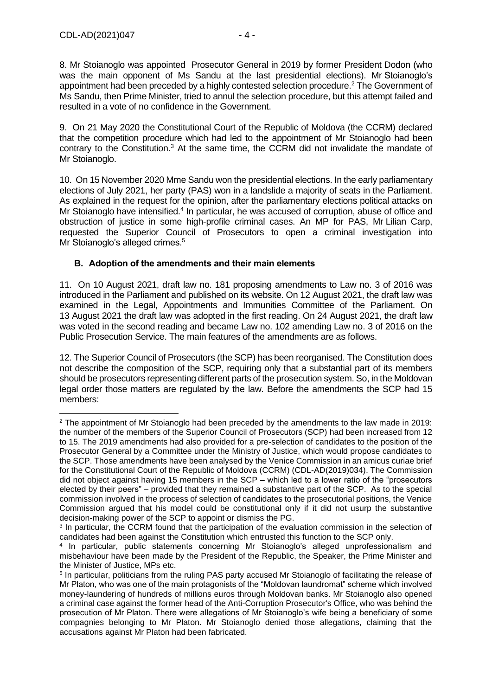8. Mr Stoianoglo was appointed Prosecutor General in 2019 by former President Dodon (who was the main opponent of Ms Sandu at the last presidential elections). Mr Stoianoglo's appointment had been preceded by a highly contested selection procedure.<sup>2</sup> The Government of Ms Sandu, then Prime Minister, tried to annul the selection procedure, but this attempt failed and resulted in a vote of no confidence in the Government.

9. On 21 May 2020 the Constitutional Court of the Republic of Moldova (the CCRM) declared that the competition procedure which had led to the appointment of Mr Stoianoglo had been contrary to the Constitution.<sup>3</sup> At the same time, the CCRM did not invalidate the mandate of Mr Stoianoglo.

10. On 15 November 2020 Mme Sandu won the presidential elections. In the early parliamentary elections of July 2021, her party (PAS) won in a landslide a majority of seats in the Parliament. As explained in the request for the opinion, after the parliamentary elections political attacks on Mr Stoianoglo have intensified.<sup>4</sup> In particular, he was accused of corruption, abuse of office and obstruction of justice in some high-profile criminal cases. An MP for PAS, Mr Lilian Carp, requested the Superior Council of Prosecutors to open a criminal investigation into Mr Stoianoglo's alleged crimes.<sup>5</sup>

#### <span id="page-3-0"></span>**B. Adoption of the amendments and their main elements**

11. On 10 August 2021, draft law no. 181 proposing amendments to Law no. 3 of 2016 was introduced in the Parliament and published on its website. On 12 August 2021, the draft law was examined in the Legal, Appointments and Immunities Committee of the Parliament. On 13 August 2021 the draft law was adopted in the first reading. On 24 August 2021, the draft law was voted in the second reading and became Law no. 102 amending Law no. 3 of 2016 on the Public Prosecution Service. The main features of the amendments are as follows.

12. The Superior Council of Prosecutors (the SCP) has been reorganised. The Constitution does not describe the composition of the SCP, requiring only that a substantial part of its members should be prosecutors representing different parts of the prosecution system. So, in the Moldovan legal order those matters are regulated by the law. Before the amendments the SCP had 15 members:

<sup>&</sup>lt;sup>2</sup> The appointment of Mr Stoianoglo had been preceded by the amendments to the law made in 2019: the number of the members of the Superior Council of Prosecutors (SCP) had been increased from 12 to 15. The 2019 amendments had also provided for a pre-selection of candidates to the position of the Prosecutor General by a Committee under the Ministry of Justice, which would propose candidates to the SCP. Those amendments have been analysed by the Venice Commission in an amicus curiae brief for the Constitutional Court of the Republic of Moldova (CCRM) (CDL-AD(2019)034). The Commission did not object against having 15 members in the SCP – which led to a lower ratio of the "prosecutors elected by their peers" – provided that they remained a substantive part of the SCP. As to the special commission involved in the process of selection of candidates to the prosecutorial positions, the Venice Commission argued that his model could be constitutional only if it did not usurp the substantive decision-making power of the SCP to appoint or dismiss the PG.

<sup>&</sup>lt;sup>3</sup> In particular, the CCRM found that the participation of the evaluation commission in the selection of candidates had been against the Constitution which entrusted this function to the SCP only.

<sup>4</sup> In particular, public statements concerning Mr Stoianoglo's alleged unprofessionalism and misbehaviour have been made by the President of the Republic, the Speaker, the Prime Minister and the Minister of Justice, MPs etc.

<sup>5</sup> In particular, politicians from the ruling PAS party accused Mr Stoianoglo of facilitating the release of Mr Platon, who was one of the main protagonists of the "Moldovan laundromat" scheme which involved money-laundering of hundreds of millions euros through Moldovan banks. Mr Stoianoglo also opened a criminal case against the former head of the Anti-Corruption Prosecutor's Office, who was behind the prosecution of Mr Platon. There were allegations of Mr Stoianoglo's wife being a beneficiary of some compagnies belonging to Mr Platon. Mr Stoianoglo denied those allegations, claiming that the accusations against Mr Platon had been fabricated.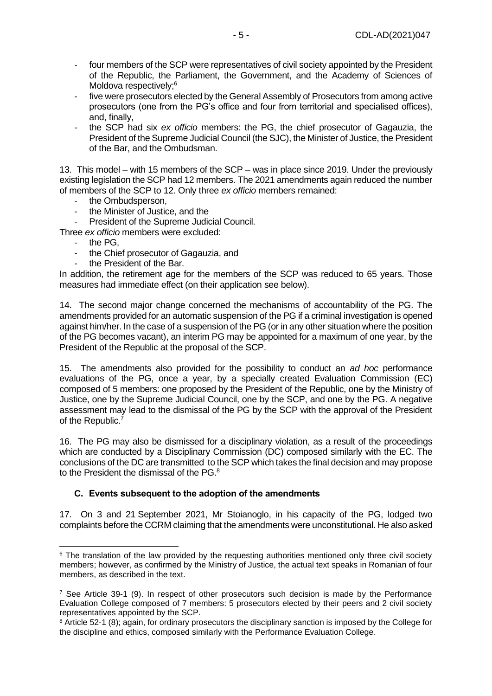- four members of the SCP were representatives of civil society appointed by the President of the Republic, the Parliament, the Government, and the Academy of Sciences of Moldova respectively;<sup>6</sup>
- five were prosecutors elected by the General Assembly of Prosecutors from among active prosecutors (one from the PG's office and four from territorial and specialised offices), and, finally,
- the SCP had six *ex officio* members: the PG, the chief prosecutor of Gagauzia, the President of the Supreme Judicial Council (the SJC), the Minister of Justice, the President of the Bar, and the Ombudsman.

13. This model – with 15 members of the SCP – was in place since 2019. Under the previously existing legislation the SCP had 12 members. The 2021 amendments again reduced the number of members of the SCP to 12. Only three *ex officio* members remained:

- the Ombudsperson,
- the Minister of Justice, and the
- President of the Supreme Judicial Council.

Three *ex officio* members were excluded:

- the PG,
- the Chief prosecutor of Gagauzia, and
- the President of the Bar.

In addition, the retirement age for the members of the SCP was reduced to 65 years. Those measures had immediate effect (on their application see below).

14. The second major change concerned the mechanisms of accountability of the PG. The amendments provided for an automatic suspension of the PG if a criminal investigation is opened against him/her. In the case of a suspension of the PG (or in any other situation where the position of the PG becomes vacant), an interim PG may be appointed for a maximum of one year, by the President of the Republic at the proposal of the SCP.

15. The amendments also provided for the possibility to conduct an *ad hoc* performance evaluations of the PG, once a year, by a specially created Evaluation Commission (EC) composed of 5 members: one proposed by the President of the Republic, one by the Ministry of Justice, one by the Supreme Judicial Council, one by the SCP, and one by the PG. A negative assessment may lead to the dismissal of the PG by the SCP with the approval of the President of the Republic.<sup>7</sup>

16. The PG may also be dismissed for a disciplinary violation, as a result of the proceedings which are conducted by a Disciplinary Commission (DC) composed similarly with the EC. The conclusions of the DC are transmitted to the SCP which takes the final decision and may propose to the President the dismissal of the PG.<sup>8</sup>

#### <span id="page-4-0"></span>**C. Events subsequent to the adoption of the amendments**

17. On 3 and 21 September 2021, Mr Stoianoglo, in his capacity of the PG, lodged two complaints before the CCRM claiming that the amendments were unconstitutional. He also asked

<sup>&</sup>lt;sup>6</sup> The translation of the law provided by the requesting authorities mentioned only three civil society members; however, as confirmed by the Ministry of Justice, the actual text speaks in Romanian of four members, as described in the text.

 $^7$  See Article 39-1 (9). In respect of other prosecutors such decision is made by the Performance Evaluation College composed of 7 members: 5 prosecutors elected by their peers and 2 civil society representatives appointed by the SCP.

<sup>8</sup> Article 52-1 (8); again, for ordinary prosecutors the disciplinary sanction is imposed by the College for the discipline and ethics, composed similarly with the Performance Evaluation College.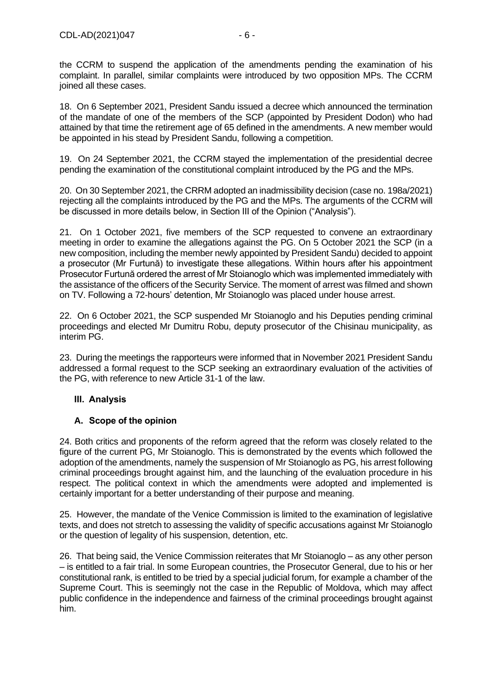the CCRM to suspend the application of the amendments pending the examination of his complaint. In parallel, similar complaints were introduced by two opposition MPs. The CCRM joined all these cases.

18. On 6 September 2021, President Sandu issued a decree which announced the termination of the mandate of one of the members of the SCP (appointed by President Dodon) who had attained by that time the retirement age of 65 defined in the amendments. A new member would be appointed in his stead by President Sandu, following a competition.

19. On 24 September 2021, the CCRM stayed the implementation of the presidential decree pending the examination of the constitutional complaint introduced by the PG and the MPs.

20. On 30 September 2021, the CRRM adopted an inadmissibility decision (case no. 198a/2021) rejecting all the complaints introduced by the PG and the MPs. The arguments of the CCRM will be discussed in more details below, in Section III of the Opinion ("Analysis").

21. On 1 October 2021, five members of the SCP requested to convene an extraordinary meeting in order to examine the allegations against the PG. On 5 October 2021 the SCP (in a new composition, including the member newly appointed by President Sandu) decided to appoint a prosecutor (Mr Furtună) to investigate these allegations. Within hours after his appointment Prosecutor Furtună ordered the arrest of Mr Stoianoglo which was implemented immediately with the assistance of the officers of the Security Service. The moment of arrest was filmed and shown on TV. Following a 72-hours' detention, Mr Stoianoglo was placed under house arrest.

22. On 6 October 2021, the SCP suspended Mr Stoianoglo and his Deputies pending criminal proceedings and elected Mr Dumitru Robu, deputy prosecutor of the Chisinau municipality, as interim PG.

23. During the meetings the rapporteurs were informed that in November 2021 President Sandu addressed a formal request to the SCP seeking an extraordinary evaluation of the activities of the PG, with reference to new Article 31-1 of the law.

#### <span id="page-5-0"></span>**III. Analysis**

#### <span id="page-5-1"></span>**A. Scope of the opinion**

24. Both critics and proponents of the reform agreed that the reform was closely related to the figure of the current PG, Mr Stoianoglo. This is demonstrated by the events which followed the adoption of the amendments, namely the suspension of Mr Stoianoglo as PG, his arrest following criminal proceedings brought against him, and the launching of the evaluation procedure in his respect. The political context in which the amendments were adopted and implemented is certainly important for a better understanding of their purpose and meaning.

25. However, the mandate of the Venice Commission is limited to the examination of legislative texts, and does not stretch to assessing the validity of specific accusations against Mr Stoianoglo or the question of legality of his suspension, detention, etc.

26. That being said, the Venice Commission reiterates that Mr Stoianoglo – as any other person – is entitled to a fair trial. In some European countries, the Prosecutor General, due to his or her constitutional rank, is entitled to be tried by a special judicial forum, for example a chamber of the Supreme Court. This is seemingly not the case in the Republic of Moldova, which may affect public confidence in the independence and fairness of the criminal proceedings brought against him.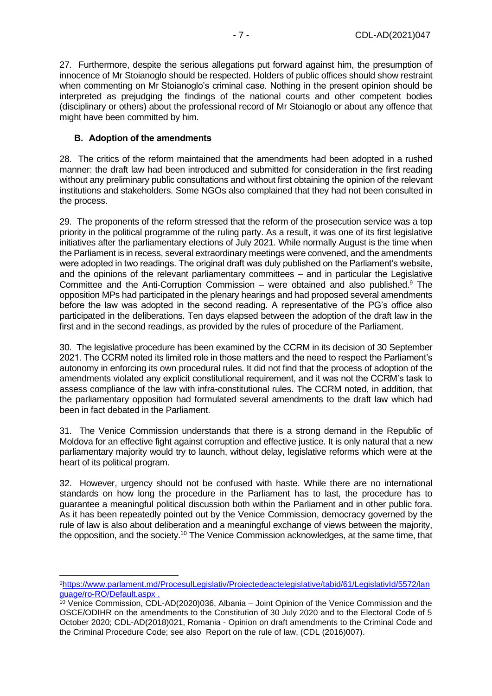27. Furthermore, despite the serious allegations put forward against him, the presumption of innocence of Mr Stoianoglo should be respected. Holders of public offices should show restraint when commenting on Mr Stoianoglo's criminal case. Nothing in the present opinion should be interpreted as prejudging the findings of the national courts and other competent bodies (disciplinary or others) about the professional record of Mr Stoianoglo or about any offence that might have been committed by him.

#### <span id="page-6-0"></span>**B. Adoption of the amendments**

28. The critics of the reform maintained that the amendments had been adopted in a rushed manner: the draft law had been introduced and submitted for consideration in the first reading without any preliminary public consultations and without first obtaining the opinion of the relevant institutions and stakeholders. Some NGOs also complained that they had not been consulted in the process.

29. The proponents of the reform stressed that the reform of the prosecution service was a top priority in the political programme of the ruling party. As a result, it was one of its first legislative initiatives after the parliamentary elections of July 2021. While normally August is the time when the Parliament is in recess, several extraordinary meetings were convened, and the amendments were adopted in two readings. The original draft was duly published on the Parliament's website, and the opinions of the relevant parliamentary committees – and in particular the Legislative Committee and the Anti-Corruption Commission – were obtained and also published. $9$  The opposition MPs had participated in the plenary hearings and had proposed several amendments before the law was adopted in the second reading. A representative of the PG's office also participated in the deliberations. Ten days elapsed between the adoption of the draft law in the first and in the second readings, as provided by the rules of procedure of the Parliament.

30. The legislative procedure has been examined by the CCRM in its decision of 30 September 2021. The CCRM noted its limited role in those matters and the need to respect the Parliament's autonomy in enforcing its own procedural rules. It did not find that the process of adoption of the amendments violated any explicit constitutional requirement, and it was not the CCRM's task to assess compliance of the law with infra-constitutional rules. The CCRM noted, in addition, that the parliamentary opposition had formulated several amendments to the draft law which had been in fact debated in the Parliament.

31. The Venice Commission understands that there is a strong demand in the Republic of Moldova for an effective fight against corruption and effective justice. It is only natural that a new parliamentary majority would try to launch, without delay, legislative reforms which were at the heart of its political program.

32. However, urgency should not be confused with haste. While there are no international standards on how long the procedure in the Parliament has to last, the procedure has to guarantee a meaningful political discussion both within the Parliament and in other public fora. As it has been repeatedly pointed out by the Venice Commission, democracy governed by the rule of law is also about deliberation and a meaningful exchange of views between the majority, the opposition, and the society.<sup>10</sup> The Venice Commission acknowledges, at the same time, that

<sup>9</sup>[https://www.parlament.md/ProcesulLegislativ/Proiectedeactelegislative/tabid/61/LegislativId/5572/lan](https://www.parlament.md/ProcesulLegislativ/Proiectedeactelegislative/tabid/61/LegislativId/5572/language/ro-RO/Default.aspx) [guage/ro-RO/Default.aspx](https://www.parlament.md/ProcesulLegislativ/Proiectedeactelegislative/tabid/61/LegislativId/5572/language/ro-RO/Default.aspx) .

<sup>&</sup>lt;sup>10</sup> Venice Commission, CDL-AD(2020)036, Albania – Joint Opinion of the Venice Commission and the OSCE/ODIHR on the amendments to the Constitution of 30 July 2020 and to the Electoral Code of 5 October 2020; CDL-AD(2018)021, Romania - Opinion on draft amendments to the Criminal Code and the Criminal Procedure Code; see also Report on the rule of law, (CDL (2016)007).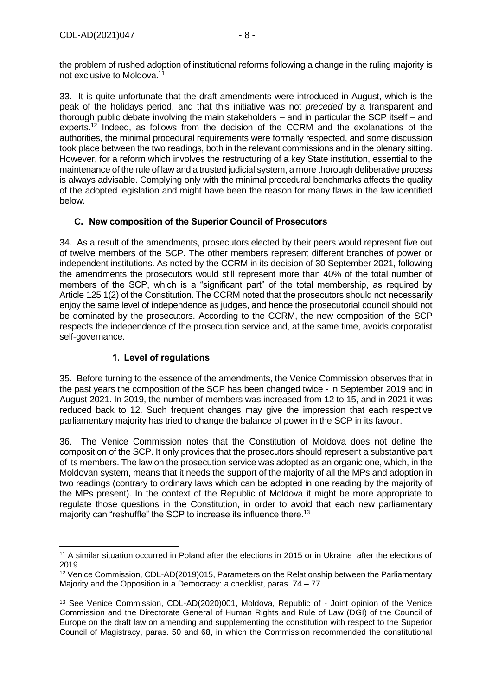the problem of rushed adoption of institutional reforms following a change in the ruling majority is not exclusive to Moldova.<sup>11</sup>

33. It is quite unfortunate that the draft amendments were introduced in August, which is the peak of the holidays period, and that this initiative was not *preceded* by a transparent and thorough public debate involving the main stakeholders – and in particular the SCP itself – and experts.<sup>12</sup> Indeed, as follows from the decision of the CCRM and the explanations of the authorities, the minimal procedural requirements were formally respected, and some discussion took place between the two readings, both in the relevant commissions and in the plenary sitting. However, for a reform which involves the restructuring of a key State institution, essential to the maintenance of the rule of law and a trusted judicial system, a more thorough deliberative process is always advisable. Complying only with the minimal procedural benchmarks affects the quality of the adopted legislation and might have been the reason for many flaws in the law identified below.

### <span id="page-7-0"></span>**C. New composition of the Superior Council of Prosecutors**

34. As a result of the amendments, prosecutors elected by their peers would represent five out of twelve members of the SCP. The other members represent different branches of power or independent institutions. As noted by the CCRM in its decision of 30 September 2021, following the amendments the prosecutors would still represent more than 40% of the total number of members of the SCP, which is a "significant part" of the total membership, as required by Article 125 1(2) of the Constitution. The CCRM noted that the prosecutors should not necessarily enjoy the same level of independence as judges, and hence the prosecutorial council should not be dominated by the prosecutors. According to the CCRM, the new composition of the SCP respects the independence of the prosecution service and, at the same time, avoids corporatist self-governance.

### **1. Level of regulations**

<span id="page-7-1"></span>35. Before turning to the essence of the amendments, the Venice Commission observes that in the past years the composition of the SCP has been changed twice - in September 2019 and in August 2021. In 2019, the number of members was increased from 12 to 15, and in 2021 it was reduced back to 12. Such frequent changes may give the impression that each respective parliamentary majority has tried to change the balance of power in the SCP in its favour.

36. The Venice Commission notes that the Constitution of Moldova does not define the composition of the SCP. It only provides that the prosecutors should represent a substantive part of its members. The law on the prosecution service was adopted as an organic one, which, in the Moldovan system, means that it needs the support of the majority of all the MPs and adoption in two readings (contrary to ordinary laws which can be adopted in one reading by the majority of the MPs present). In the context of the Republic of Moldova it might be more appropriate to regulate those questions in the Constitution, in order to avoid that each new parliamentary majority can "reshuffle" the SCP to increase its influence there.<sup>13</sup>

<sup>11</sup> A similar situation occurred in Poland after the elections in 2015 or in Ukraine after the elections of 2019.

<sup>12</sup> Venice Commission, CDL-AD(2019)015, Parameters on the Relationship between the Parliamentary Majority and the Opposition in a Democracy: a checklist, paras. 74 – 77.

<sup>13</sup> See Venice Commission, CDL-AD(2020)001, Moldova, Republic of - Joint opinion of the Venice Commission and the Directorate General of Human Rights and Rule of Law (DGI) of the Council of Europe on the draft law on amending and supplementing the constitution with respect to the Superior Council of Magistracy, paras. 50 and 68, in which the Commission recommended the constitutional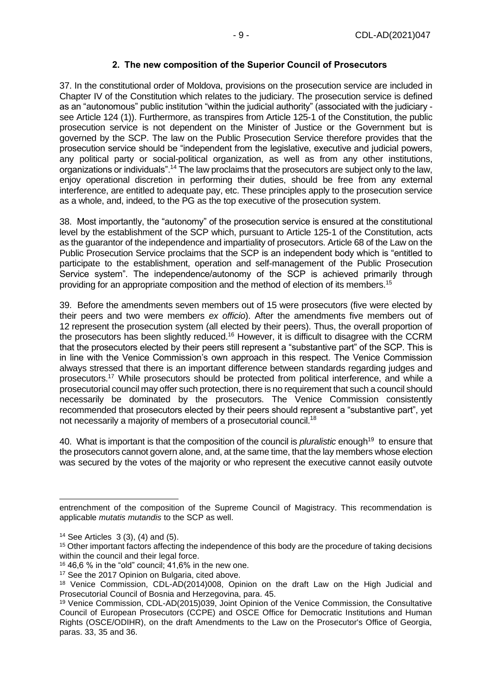#### **2. The new composition of the Superior Council of Prosecutors**

<span id="page-8-0"></span>37. In the constitutional order of Moldova, provisions on the prosecution service are included in Chapter IV of the Constitution which relates to the judiciary. The prosecution service is defined as an "autonomous" public institution "within the judicial authority" (associated with the judiciary see Article 124 (1)). Furthermore, as transpires from Article 125-1 of the Constitution, the public prosecution service is not dependent on the Minister of Justice or the Government but is governed by the SCP. The law on the Public Prosecution Service therefore provides that the prosecution service should be "independent from the legislative, executive and judicial powers, any political party or social-political organization, as well as from any other institutions, organizations or individuals".<sup>14</sup> The law proclaims that the prosecutors are subject only to the law, enjoy operational discretion in performing their duties, should be free from any external interference, are entitled to adequate pay, etc. These principles apply to the prosecution service as a whole, and, indeed, to the PG as the top executive of the prosecution system.

38. Most importantly, the "autonomy" of the prosecution service is ensured at the constitutional level by the establishment of the SCP which, pursuant to Article 125-1 of the Constitution, acts as the guarantor of the independence and impartiality of prosecutors. Article 68 of the Law on the Public Prosecution Service proclaims that the SCP is an independent body which is "entitled to participate to the establishment, operation and self-management of the Public Prosecution Service system". The independence/autonomy of the SCP is achieved primarily through providing for an appropriate composition and the method of election of its members.<sup>15</sup>

39. Before the amendments seven members out of 15 were prosecutors (five were elected by their peers and two were members *ex officio*). After the amendments five members out of 12 represent the prosecution system (all elected by their peers). Thus, the overall proportion of the prosecutors has been slightly reduced.<sup>16</sup> However, it is difficult to disagree with the CCRM that the prosecutors elected by their peers still represent a "substantive part" of the SCP. This is in line with the Venice Commission's own approach in this respect. The Venice Commission always stressed that there is an important difference between standards regarding judges and prosecutors.<sup>17</sup> While prosecutors should be protected from political interference, and while a prosecutorial council may offer such protection, there is no requirement that such a council should necessarily be dominated by the prosecutors. The Venice Commission consistently recommended that prosecutors elected by their peers should represent a "substantive part", yet not necessarily a majority of members of a prosecutorial council.<sup>18</sup>

40. What is important is that the composition of the council is *pluralistic* enough<sup>19</sup> to ensure that the prosecutors cannot govern alone, and, at the same time, that the lay members whose election was secured by the votes of the majority or who represent the executive cannot easily outvote

entrenchment of the composition of the Supreme Council of Magistracy. This recommendation is applicable *mutatis mutandis* to the SCP as well.

 $14$  See Articles 3 (3), (4) and (5).

<sup>&</sup>lt;sup>15</sup> Other important factors affecting the independence of this body are the procedure of taking decisions within the council and their legal force.

 $16$  46,6 % in the "old" council; 41,6% in the new one.

<sup>&</sup>lt;sup>17</sup> See the 2017 Opinion on Bulgaria, cited above.

<sup>18</sup> Venice Commission, CDL-AD(2014)008, Opinion on the draft Law on the High Judicial and Prosecutorial Council of Bosnia and Herzegovina, para. 45.

<sup>19</sup> Venice Commission, CDL-AD(2015)039, Joint Opinion of the Venice Commission, the Consultative Council of European Prosecutors (CCPE) and OSCE Office for Democratic Institutions and Human Rights (OSCE/ODIHR), on the draft Amendments to the Law on the Prosecutor's Office of Georgia, paras. 33, 35 and 36.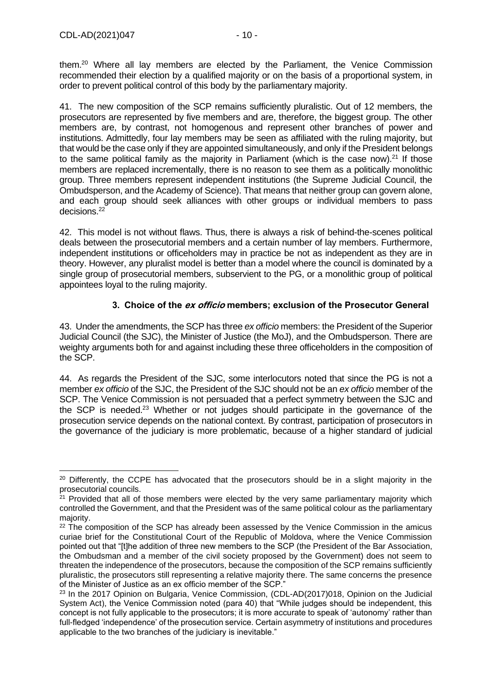them.<sup>20</sup> Where all lay members are elected by the Parliament, the Venice Commission recommended their election by a qualified majority or on the basis of a proportional system, in order to prevent political control of this body by the parliamentary majority.

41. The new composition of the SCP remains sufficiently pluralistic. Out of 12 members, the prosecutors are represented by five members and are, therefore, the biggest group. The other members are, by contrast, not homogenous and represent other branches of power and institutions. Admittedly, four lay members may be seen as affiliated with the ruling majority, but that would be the case only if they are appointed simultaneously, and only if the President belongs to the same political family as the majority in Parliament (which is the case now).<sup>21</sup> If those members are replaced incrementally, there is no reason to see them as a politically monolithic group. Three members represent independent institutions (the Supreme Judicial Council, the Ombudsperson, and the Academy of Science). That means that neither group can govern alone, and each group should seek alliances with other groups or individual members to pass decisions.<sup>22</sup>

42. This model is not without flaws. Thus, there is always a risk of behind-the-scenes political deals between the prosecutorial members and a certain number of lay members. Furthermore, independent institutions or officeholders may in practice be not as independent as they are in theory. However, any pluralist model is better than a model where the council is dominated by a single group of prosecutorial members, subservient to the PG, or a monolithic group of political appointees loyal to the ruling majority.

#### **3. Choice of the ex officio members; exclusion of the Prosecutor General**

<span id="page-9-0"></span>43. Under the amendments, the SCP has three *ex officio* members: the President of the Superior Judicial Council (the SJC), the Minister of Justice (the MoJ), and the Ombudsperson. There are weighty arguments both for and against including these three officeholders in the composition of the SCP.

44. As regards the President of the SJC, some interlocutors noted that since the PG is not a member *ex officio* of the SJC, the President of the SJC should not be an *ex officio* member of the SCP. The Venice Commission is not persuaded that a perfect symmetry between the SJC and the SCP is needed.<sup>23</sup> Whether or not judges should participate in the governance of the prosecution service depends on the national context. By contrast, participation of prosecutors in the governance of the judiciary is more problematic, because of a higher standard of judicial

<sup>&</sup>lt;sup>20</sup> Differently, the CCPE has advocated that the prosecutors should be in a slight majority in the prosecutorial councils.

 $21$  Provided that all of those members were elected by the very same parliamentary majority which controlled the Government, and that the President was of the same political colour as the parliamentary majority.

 $22$  The composition of the SCP has already been assessed by the Venice Commission in the amicus curiae brief for the Constitutional Court of the Republic of Moldova, where the Venice Commission pointed out that "[t]he addition of three new members to the SCP (the President of the Bar Association, the Ombudsman and a member of the civil society proposed by the Government) does not seem to threaten the independence of the prosecutors, because the composition of the SCP remains sufficiently pluralistic, the prosecutors still representing a relative majority there. The same concerns the presence of the Minister of Justice as an ex officio member of the SCP."

<sup>&</sup>lt;sup>23</sup> In the 2017 Opinion on Bulgaria, Venice Commission, (CDL-AD(2017)018, Opinion on the Judicial System Act), the Venice Commission noted (para 40) that "While judges should be independent, this concept is not fully applicable to the prosecutors; it is more accurate to speak of 'autonomy' rather than full-fledged 'independence' of the prosecution service. Certain asymmetry of institutions and procedures applicable to the two branches of the judiciary is inevitable."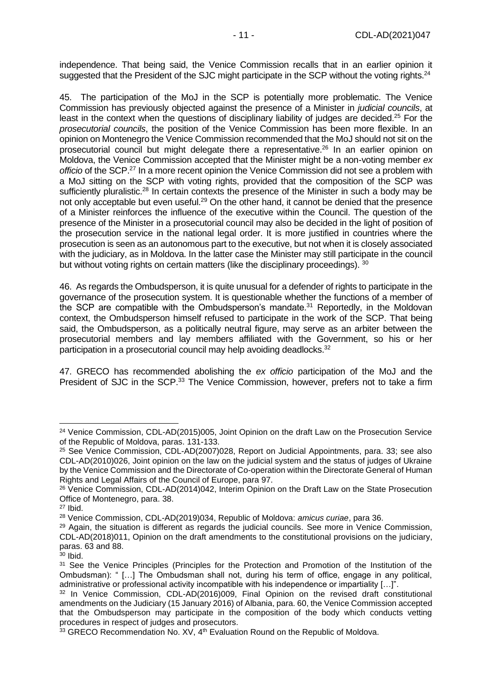independence. That being said, the Venice Commission recalls that in an earlier opinion it suggested that the President of the SJC might participate in the SCP without the voting rights.<sup>24</sup>

45. The participation of the MoJ in the SCP is potentially more problematic. The Venice Commission has previously objected against the presence of a Minister in *judicial councils*, at least in the context when the questions of disciplinary liability of judges are decided.<sup>25</sup> For the *prosecutorial councils*, the position of the Venice Commission has been more flexible. In an opinion on Montenegro the Venice Commission recommended that the MoJ should not sit on the prosecutorial council but might delegate there a representative.<sup>26</sup> In an earlier opinion on Moldova, the Venice Commission accepted that the Minister might be a non-voting member *ex officio* of the SCP.<sup>27</sup> In a more recent opinion the Venice Commission did not see a problem with a MoJ sitting on the SCP with voting rights, provided that the composition of the SCP was sufficiently pluralistic.<sup>28</sup> In certain contexts the presence of the Minister in such a body may be not only acceptable but even useful.<sup>29</sup> On the other hand, it cannot be denied that the presence of a Minister reinforces the influence of the executive within the Council. The question of the presence of the Minister in a prosecutorial council may also be decided in the light of position of the prosecution service in the national legal order. It is more justified in countries where the prosecution is seen as an autonomous part to the executive, but not when it is closely associated with the judiciary, as in Moldova. In the latter case the Minister may still participate in the council but without voting rights on certain matters (like the disciplinary proceedings). 30

46. As regards the Ombudsperson, it is quite unusual for a defender of rights to participate in the governance of the prosecution system. It is questionable whether the functions of a member of the SCP are compatible with the Ombudsperson's mandate.<sup>31</sup> Reportedly, in the Moldovan context, the Ombudsperson himself refused to participate in the work of the SCP. That being said, the Ombudsperson, as a politically neutral figure, may serve as an arbiter between the prosecutorial members and lay members affiliated with the Government, so his or her participation in a prosecutorial council may help avoiding deadlocks.<sup>32</sup>

47. GRECO has recommended abolishing the *ex officio* participation of the MoJ and the President of SJC in the SCP.<sup>33</sup> The Venice Commission, however, prefers not to take a firm

<sup>&</sup>lt;sup>24</sup> Venice Commission, CDL-AD(2015)005, Joint Opinion on the draft Law on the Prosecution Service of the Republic of Moldova, paras. 131-133.

<sup>&</sup>lt;sup>25</sup> See Venice Commission, CDL-AD(2007)028, Report on Judicial Appointments, para. 33; see also CDL-AD(2010)026, Joint opinion on the law on the judicial system and the status of judges of Ukraine by the Venice Commission and the Directorate of Co-operation within the Directorate General of Human Rights and Legal Affairs of the Council of Europe, para 97.

<sup>&</sup>lt;sup>26</sup> Venice Commission, CDL-AD(2014)042, Interim Opinion on the Draft Law on the State Prosecution Office of Montenegro, para. 38.

 $27$  Ibid.

<sup>28</sup> Venice Commission, CDL-AD(2019)034, Republic of Moldova: *amicus curiae*, para 36.

<sup>&</sup>lt;sup>29</sup> Again, the situation is different as regards the judicial councils. See more in Venice Commission, CDL-AD(2018)011, Opinion on the draft amendments to the constitutional provisions on the judiciary, paras. 63 and 88.

 $30$  Ibid.

<sup>&</sup>lt;sup>31</sup> See the Venice Principles (Principles for the Protection and Promotion of the Institution of the Ombudsman): " […] The Ombudsman shall not, during his term of office, engage in any political, administrative or professional activity incompatible with his independence or impartiality […]".

<sup>32</sup> In Venice Commission, CDL-AD(2016)009, Final Opinion on the revised draft constitutional amendments on the Judiciary (15 January 2016) of Albania, para. 60, the Venice Commission accepted that the Ombudsperson may participate in the composition of the body which conducts vetting procedures in respect of judges and prosecutors.

<sup>33</sup> GRECO Recommendation No. XV, 4<sup>th</sup> Evaluation Round on the Republic of Moldova.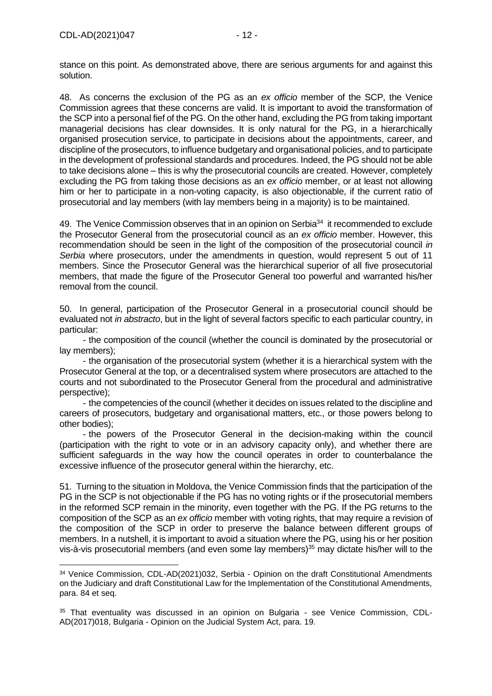stance on this point. As demonstrated above, there are serious arguments for and against this solution.

48. As concerns the exclusion of the PG as an *ex officio* member of the SCP, the Venice Commission agrees that these concerns are valid. It is important to avoid the transformation of the SCP into a personal fief of the PG. On the other hand, excluding the PG from taking important managerial decisions has clear downsides. It is only natural for the PG, in a hierarchically organised prosecution service, to participate in decisions about the appointments, career, and discipline of the prosecutors, to influence budgetary and organisational policies, and to participate in the development of professional standards and procedures. Indeed, the PG should not be able to take decisions alone – this is why the prosecutorial councils are created. However, completely excluding the PG from taking those decisions as an *ex officio* member, or at least not allowing him or her to participate in a non-voting capacity, is also objectionable, if the current ratio of prosecutorial and lay members (with lay members being in a majority) is to be maintained.

49. The Venice Commission observes that in an opinion on Serbia<sup>34</sup> it recommended to exclude the Prosecutor General from the prosecutorial council as an *ex officio* member. However, this recommendation should be seen in the light of the composition of the prosecutorial council *in Serbia* where prosecutors, under the amendments in question, would represent 5 out of 11 members. Since the Prosecutor General was the hierarchical superior of all five prosecutorial members, that made the figure of the Prosecutor General too powerful and warranted his/her removal from the council.

50. In general, participation of the Prosecutor General in a prosecutorial council should be evaluated not *in abstracto*, but in the light of several factors specific to each particular country, in particular:

- the composition of the council (whether the council is dominated by the prosecutorial or lay members);

- the organisation of the prosecutorial system (whether it is a hierarchical system with the Prosecutor General at the top, or a decentralised system where prosecutors are attached to the courts and not subordinated to the Prosecutor General from the procedural and administrative perspective);

- the competencies of the council (whether it decides on issues related to the discipline and careers of prosecutors, budgetary and organisational matters, etc., or those powers belong to other bodies);

- the powers of the Prosecutor General in the decision-making within the council (participation with the right to vote or in an advisory capacity only), and whether there are sufficient safeguards in the way how the council operates in order to counterbalance the excessive influence of the prosecutor general within the hierarchy, etc.

51. Turning to the situation in Moldova, the Venice Commission finds that the participation of the PG in the SCP is not objectionable if the PG has no voting rights or if the prosecutorial members in the reformed SCP remain in the minority, even together with the PG. If the PG returns to the composition of the SCP as an *ex officio* member with voting rights, that may require a revision of the composition of the SCP in order to preserve the balance between different groups of members. In a nutshell, it is important to avoid a situation where the PG, using his or her position vis-à-vis prosecutorial members (and even some lay members)<sup>35</sup> may dictate his/her will to the

<sup>&</sup>lt;sup>34</sup> Venice Commission, CDL-AD(2021)032, Serbia - Opinion on the draft Constitutional Amendments on the Judiciary and draft Constitutional Law for the Implementation of the Constitutional Amendments, para. 84 et seq.

<sup>35</sup> That eventuality was discussed in an opinion on Bulgaria - see Venice Commission, CDL-AD(2017)018, Bulgaria - Opinion on the Judicial System Act, para. 19.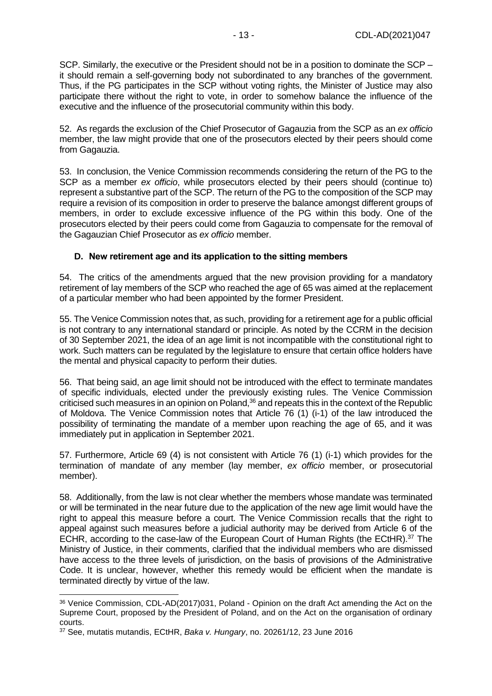SCP. Similarly, the executive or the President should not be in a position to dominate the SCP – it should remain a self-governing body not subordinated to any branches of the government. Thus, if the PG participates in the SCP without voting rights, the Minister of Justice may also participate there without the right to vote, in order to somehow balance the influence of the executive and the influence of the prosecutorial community within this body.

52. As regards the exclusion of the Chief Prosecutor of Gagauzia from the SCP as an *ex officio* member, the law might provide that one of the prosecutors elected by their peers should come from Gagauzia.

53. In conclusion, the Venice Commission recommends considering the return of the PG to the SCP as a member *ex officio*, while prosecutors elected by their peers should (continue to) represent a substantive part of the SCP. The return of the PG to the composition of the SCP may require a revision of its composition in order to preserve the balance amongst different groups of members, in order to exclude excessive influence of the PG within this body. One of the prosecutors elected by their peers could come from Gagauzia to compensate for the removal of the Gagauzian Chief Prosecutor as *ex officio* member.

#### <span id="page-12-0"></span>**D. New retirement age and its application to the sitting members**

54. The critics of the amendments argued that the new provision providing for a mandatory retirement of lay members of the SCP who reached the age of 65 was aimed at the replacement of a particular member who had been appointed by the former President.

55. The Venice Commission notes that, as such, providing for a retirement age for a public official is not contrary to any international standard or principle. As noted by the CCRM in the decision of 30 September 2021, the idea of an age limit is not incompatible with the constitutional right to work. Such matters can be regulated by the legislature to ensure that certain office holders have the mental and physical capacity to perform their duties.

56. That being said, an age limit should not be introduced with the effect to terminate mandates of specific individuals, elected under the previously existing rules. The Venice Commission criticised such measures in an opinion on Poland,<sup>36</sup> and repeats this in the context of the Republic of Moldova. The Venice Commission notes that Article 76 (1) (i-1) of the law introduced the possibility of terminating the mandate of a member upon reaching the age of 65, and it was immediately put in application in September 2021.

57. Furthermore, Article 69 (4) is not consistent with Article 76 (1) (i-1) which provides for the termination of mandate of any member (lay member, *ex officio* member, or prosecutorial member).

58. Additionally, from the law is not clear whether the members whose mandate was terminated or will be terminated in the near future due to the application of the new age limit would have the right to appeal this measure before a court. The Venice Commission recalls that the right to appeal against such measures before a judicial authority may be derived from Article 6 of the ECHR, according to the case-law of the European Court of Human Rights (the ECtHR).<sup>37</sup> The Ministry of Justice, in their comments, clarified that the individual members who are dismissed have access to the three levels of jurisdiction, on the basis of provisions of the Administrative Code. It is unclear, however, whether this remedy would be efficient when the mandate is terminated directly by virtue of the law.

<sup>36</sup> Venice Commission, CDL-AD(2017)031, Poland - Opinion on the draft Act amending the Act on the Supreme Court, proposed by the President of Poland, and on the Act on the organisation of ordinary courts.

<sup>37</sup> See, mutatis mutandis, ECtHR, *Baka v. Hungary*, no. 20261/12, 23 June 2016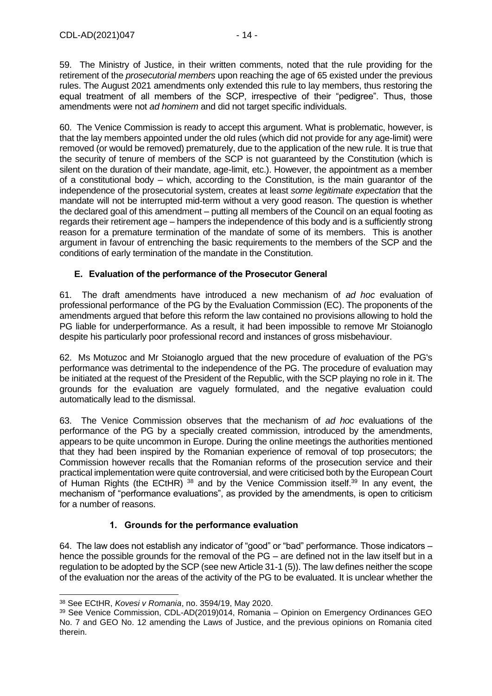59. The Ministry of Justice, in their written comments, noted that the rule providing for the retirement of the *prosecutorial members* upon reaching the age of 65 existed under the previous rules. The August 2021 amendments only extended this rule to lay members, thus restoring the equal treatment of all members of the SCP, irrespective of their "pedigree". Thus, those amendments were not *ad hominem* and did not target specific individuals.

60. The Venice Commission is ready to accept this argument. What is problematic, however, is that the lay members appointed under the old rules (which did not provide for any age-limit) were removed (or would be removed) prematurely, due to the application of the new rule. It is true that the security of tenure of members of the SCP is not guaranteed by the Constitution (which is silent on the duration of their mandate, age-limit, etc.). However, the appointment as a member of a constitutional body – which, according to the Constitution, is the main guarantor of the independence of the prosecutorial system, creates at least *some legitimate expectation* that the mandate will not be interrupted mid-term without a very good reason. The question is whether the declared goal of this amendment – putting all members of the Council on an equal footing as regards their retirement age – hampers the independence of this body and is a sufficiently strong reason for a premature termination of the mandate of some of its members. This is another argument in favour of entrenching the basic requirements to the members of the SCP and the conditions of early termination of the mandate in the Constitution.

#### <span id="page-13-0"></span>**E. Evaluation of the performance of the Prosecutor General**

61. The draft amendments have introduced a new mechanism of *ad hoc* evaluation of professional performance of the PG by the Evaluation Commission (EC). The proponents of the amendments argued that before this reform the law contained no provisions allowing to hold the PG liable for underperformance. As a result, it had been impossible to remove Mr Stoianoglo despite his particularly poor professional record and instances of gross misbehaviour.

62. Ms Motuzoc and Mr Stoianoglo argued that the new procedure of evaluation of the PG's performance was detrimental to the independence of the PG. The procedure of evaluation may be initiated at the request of the President of the Republic, with the SCP playing no role in it. The grounds for the evaluation are vaguely formulated, and the negative evaluation could automatically lead to the dismissal.

63. The Venice Commission observes that the mechanism of *ad hoc* evaluations of the performance of the PG by a specially created commission, introduced by the amendments, appears to be quite uncommon in Europe. During the online meetings the authorities mentioned that they had been inspired by the Romanian experience of removal of top prosecutors; the Commission however recalls that the Romanian reforms of the prosecution service and their practical implementation were quite controversial, and were criticised both by the European Court of Human Rights (the ECtHR) <sup>38</sup> and by the Venice Commission itself.<sup>39</sup> In any event, the mechanism of "performance evaluations", as provided by the amendments, is open to criticism for a number of reasons.

### **1. Grounds for the performance evaluation**

<span id="page-13-1"></span>64. The law does not establish any indicator of "good" or "bad" performance. Those indicators – hence the possible grounds for the removal of the PG – are defined not in the law itself but in a regulation to be adopted by the SCP (see new Article 31-1 (5)). The law defines neither the scope of the evaluation nor the areas of the activity of the PG to be evaluated. It is unclear whether the

<sup>38</sup> See ECtHR, *Kovesi v Romania*, no. 3594/19, May 2020.

<sup>39</sup> See Venice Commission, CDL-AD(2019)014, Romania – Opinion on Emergency Ordinances GEO No. 7 and GEO No. 12 amending the Laws of Justice, and the previous opinions on Romania cited therein.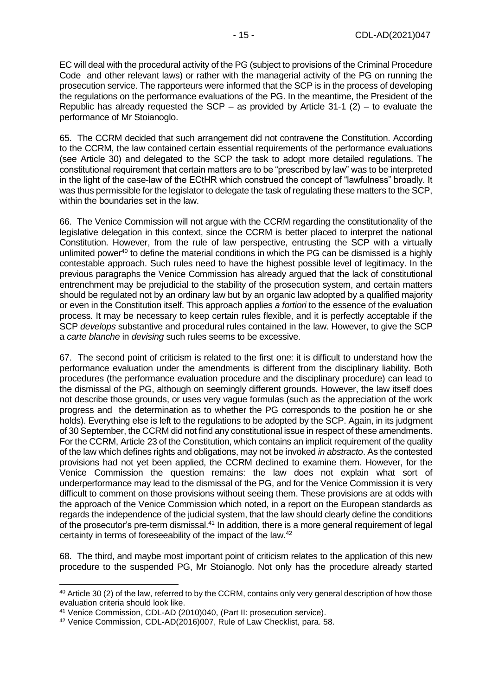EC will deal with the procedural activity of the PG (subject to provisions of the Criminal Procedure Code and other relevant laws) or rather with the managerial activity of the PG on running the prosecution service. The rapporteurs were informed that the SCP is in the process of developing the regulations on the performance evaluations of the PG. In the meantime, the President of the Republic has already requested the SCP – as provided by Article 31-1  $(2)$  – to evaluate the performance of Mr Stoianoglo.

65. The CCRM decided that such arrangement did not contravene the Constitution. According to the CCRM, the law contained certain essential requirements of the performance evaluations (see Article 30) and delegated to the SCP the task to adopt more detailed regulations. The constitutional requirement that certain matters are to be "prescribed by law" was to be interpreted in the light of the case-law of the ECtHR which construed the concept of "lawfulness" broadly. It was thus permissible for the legislator to delegate the task of regulating these matters to the SCP, within the boundaries set in the law.

66. The Venice Commission will not argue with the CCRM regarding the constitutionality of the legislative delegation in this context, since the CCRM is better placed to interpret the national Constitution. However, from the rule of law perspective, entrusting the SCP with a virtually unlimited power<sup>40</sup> to define the material conditions in which the PG can be dismissed is a highly contestable approach. Such rules need to have the highest possible level of legitimacy. In the previous paragraphs the Venice Commission has already argued that the lack of constitutional entrenchment may be prejudicial to the stability of the prosecution system, and certain matters should be regulated not by an ordinary law but by an organic law adopted by a qualified majority or even in the Constitution itself. This approach applies *a fortiori* to the essence of the evaluation process. It may be necessary to keep certain rules flexible, and it is perfectly acceptable if the SCP *develops* substantive and procedural rules contained in the law. However, to give the SCP a *carte blanche* in *devising* such rules seems to be excessive.

67. The second point of criticism is related to the first one: it is difficult to understand how the performance evaluation under the amendments is different from the disciplinary liability. Both procedures (the performance evaluation procedure and the disciplinary procedure) can lead to the dismissal of the PG, although on seemingly different grounds. However, the law itself does not describe those grounds, or uses very vague formulas (such as the appreciation of the work progress and the determination as to whether the PG corresponds to the position he or she holds). Everything else is left to the regulations to be adopted by the SCP. Again, in its judgment of 30 September, the CCRM did not find any constitutional issue in respect of these amendments. For the CCRM, Article 23 of the Constitution, which contains an implicit requirement of the quality of the law which defines rights and obligations, may not be invoked *in abstracto*. As the contested provisions had not yet been applied, the CCRM declined to examine them. However, for the Venice Commission the question remains: the law does not explain what sort of underperformance may lead to the dismissal of the PG, and for the Venice Commission it is very difficult to comment on those provisions without seeing them. These provisions are at odds with the approach of the Venice Commission which noted, in a report on the European standards as regards the independence of the judicial system, that the law should clearly define the conditions of the prosecutor's pre-term dismissal.<sup>41</sup> In addition, there is a more general requirement of legal certainty in terms of foreseeability of the impact of the law.<sup>42</sup>

68. The third, and maybe most important point of criticism relates to the application of this new procedure to the suspended PG, Mr Stoianoglo. Not only has the procedure already started

<sup>40</sup> Article 30 (2) of the law, referred to by the CCRM, contains only very general description of how those evaluation criteria should look like.

<sup>41</sup> Venice Commission, CDL-AD (2010)040, (Part II: prosecution service).

<sup>42</sup> Venice Commission, CDL-AD(2016)007, Rule of Law Checklist, para. 58.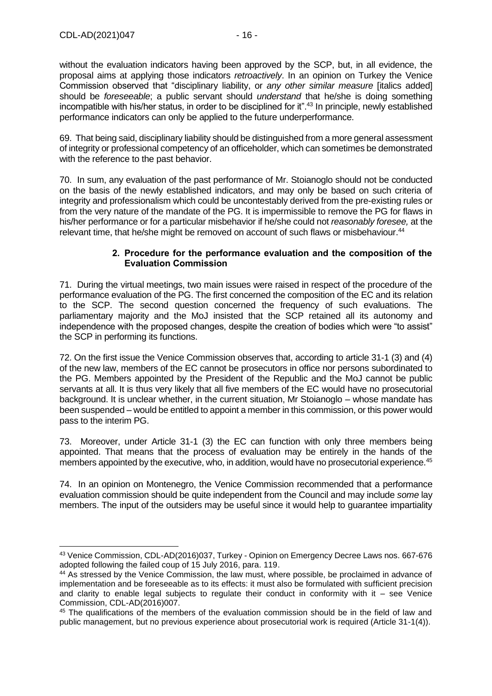without the evaluation indicators having been approved by the SCP, but, in all evidence, the proposal aims at applying those indicators *retroactively*. In an opinion on Turkey the Venice Commission observed that "disciplinary liability, or *any other similar measure* [italics added] should be *foreseeable*; a public servant should *understand* that he/she is doing something incompatible with his/her status, in order to be disciplined for it".<sup>43</sup> In principle, newly established performance indicators can only be applied to the future underperformance.

69. That being said, disciplinary liability should be distinguished from a more general assessment of integrity or professional competency of an officeholder, which can sometimes be demonstrated with the reference to the past behavior.

70. In sum, any evaluation of the past performance of Mr. Stoianoglo should not be conducted on the basis of the newly established indicators, and may only be based on such criteria of integrity and professionalism which could be uncontestably derived from the pre-existing rules or from the very nature of the mandate of the PG. It is impermissible to remove the PG for flaws in his/her performance or for a particular misbehavior if he/she could not *reasonably foresee,* at the relevant time, that he/she might be removed on account of such flaws or misbehaviour.<sup>44</sup>

#### **2. Procedure for the performance evaluation and the composition of the Evaluation Commission**

<span id="page-15-0"></span>71. During the virtual meetings, two main issues were raised in respect of the procedure of the performance evaluation of the PG. The first concerned the composition of the EC and its relation to the SCP. The second question concerned the frequency of such evaluations. The parliamentary majority and the MoJ insisted that the SCP retained all its autonomy and independence with the proposed changes, despite the creation of bodies which were "to assist" the SCP in performing its functions.

72. On the first issue the Venice Commission observes that, according to article 31-1 (3) and (4) of the new law, members of the EC cannot be prosecutors in office nor persons subordinated to the PG. Members appointed by the President of the Republic and the MoJ cannot be public servants at all. It is thus very likely that all five members of the EC would have no prosecutorial background. It is unclear whether, in the current situation, Mr Stoianoglo – whose mandate has been suspended – would be entitled to appoint a member in this commission, or this power would pass to the interim PG.

73. Moreover, under Article 31-1 (3) the EC can function with only three members being appointed. That means that the process of evaluation may be entirely in the hands of the members appointed by the executive, who, in addition, would have no prosecutorial experience.<sup>45</sup>

74. In an opinion on Montenegro, the Venice Commission recommended that a performance evaluation commission should be quite independent from the Council and may include *some* lay members. The input of the outsiders may be useful since it would help to guarantee impartiality

<sup>43</sup> Venice Commission, CDL-AD(2016)037, Turkey - Opinion on Emergency Decree Laws nos. 667-676 adopted following the failed coup of 15 July 2016, para. 119.

<sup>44</sup> As stressed by the Venice Commission, the law must, where possible, be proclaimed in advance of implementation and be foreseeable as to its effects: it must also be formulated with sufficient precision and clarity to enable legal subjects to regulate their conduct in conformity with it – see Venice Commission, CDL-AD(2016)007.

<sup>&</sup>lt;sup>45</sup> The qualifications of the members of the evaluation commission should be in the field of law and public management, but no previous experience about prosecutorial work is required (Article 31-1(4)).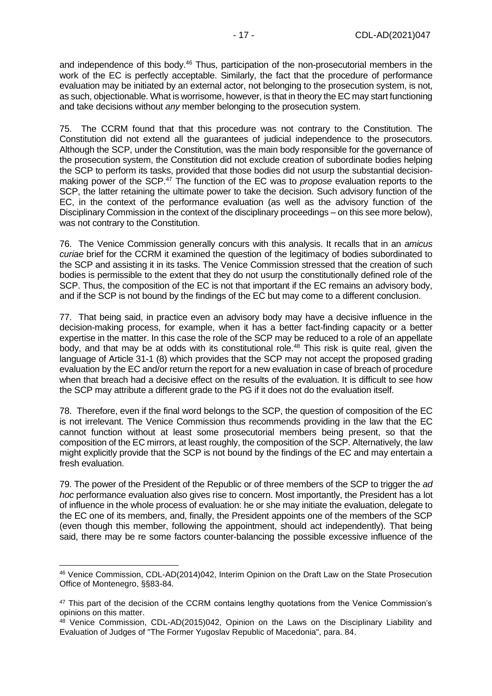and independence of this body.<sup>46</sup> Thus, participation of the non-prosecutorial members in the work of the EC is perfectly acceptable. Similarly, the fact that the procedure of performance evaluation may be initiated by an external actor, not belonging to the prosecution system, is not, as such, objectionable. What is worrisome, however, is that in theory the EC may start functioning and take decisions without *any* member belonging to the prosecution system.

75. The CCRM found that that this procedure was not contrary to the Constitution. The Constitution did not extend all the guarantees of judicial independence to the prosecutors. Although the SCP, under the Constitution, was the main body responsible for the governance of the prosecution system, the Constitution did not exclude creation of subordinate bodies helping the SCP to perform its tasks, provided that those bodies did not usurp the substantial decisionmaking power of the SCP.<sup>47</sup> The function of the EC was to *propose* evaluation reports to the SCP, the latter retaining the ultimate power to take the decision. Such advisory function of the EC, in the context of the performance evaluation (as well as the advisory function of the Disciplinary Commission in the context of the disciplinary proceedings – on this see more below), was not contrary to the Constitution.

76. The Venice Commission generally concurs with this analysis. It recalls that in an *amicus curiae* brief for the CCRM it examined the question of the legitimacy of bodies subordinated to the SCP and assisting it in its tasks. The Venice Commission stressed that the creation of such bodies is permissible to the extent that they do not usurp the constitutionally defined role of the SCP. Thus, the composition of the EC is not that important if the EC remains an advisory body, and if the SCP is not bound by the findings of the EC but may come to a different conclusion.

77. That being said, in practice even an advisory body may have a decisive influence in the decision-making process, for example, when it has a better fact-finding capacity or a better expertise in the matter. In this case the role of the SCP may be reduced to a role of an appellate body, and that may be at odds with its constitutional role.<sup>48</sup> This risk is quite real, given the language of Article 31-1 (8) which provides that the SCP may not accept the proposed grading evaluation by the EC and/or return the report for a new evaluation in case of breach of procedure when that breach had a decisive effect on the results of the evaluation. It is difficult to see how the SCP may attribute a different grade to the PG if it does not do the evaluation itself.

78. Therefore, even if the final word belongs to the SCP, the question of composition of the EC is not irrelevant. The Venice Commission thus recommends providing in the law that the EC cannot function without at least some prosecutorial members being present, so that the composition of the EC mirrors, at least roughly, the composition of the SCP. Alternatively, the law might explicitly provide that the SCP is not bound by the findings of the EC and may entertain a fresh evaluation.

79. The power of the President of the Republic or of three members of the SCP to trigger the *ad hoc* performance evaluation also gives rise to concern. Most importantly, the President has a lot of influence in the whole process of evaluation: he or she may initiate the evaluation, delegate to the EC one of its members, and, finally, the President appoints one of the members of the SCP (even though this member, following the appointment, should act independently). That being said, there may be re some factors counter-balancing the possible excessive influence of the

<sup>46</sup> Venice Commission, CDL-AD(2014)042, Interim Opinion on the Draft Law on the State Prosecution Office of Montenegro, §§83-84.

<sup>&</sup>lt;sup>47</sup> This part of the decision of the CCRM contains lengthy quotations from the Venice Commission's opinions on this matter.

 $48$  Venice Commission, CDL-AD(2015)042, Opinion on the Laws on the Disciplinary Liability and Evaluation of Judges of "The Former Yugoslav Republic of Macedonia", para. 84.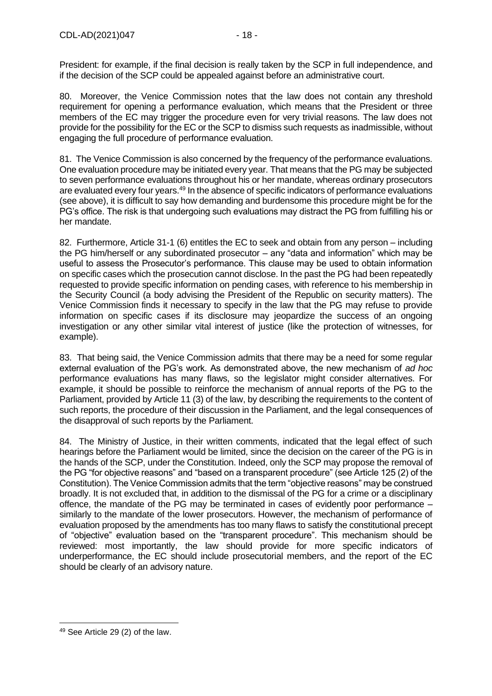President: for example, if the final decision is really taken by the SCP in full independence, and if the decision of the SCP could be appealed against before an administrative court.

80. Moreover, the Venice Commission notes that the law does not contain any threshold requirement for opening a performance evaluation, which means that the President or three members of the EC may trigger the procedure even for very trivial reasons. The law does not provide for the possibility for the EC or the SCP to dismiss such requests as inadmissible, without engaging the full procedure of performance evaluation.

81. The Venice Commission is also concerned by the frequency of the performance evaluations. One evaluation procedure may be initiated every year. That means that the PG may be subjected to seven performance evaluations throughout his or her mandate, whereas ordinary prosecutors are evaluated every four years.<sup>49</sup> In the absence of specific indicators of performance evaluations (see above), it is difficult to say how demanding and burdensome this procedure might be for the PG's office. The risk is that undergoing such evaluations may distract the PG from fulfilling his or her mandate.

82. Furthermore, Article 31-1 (6) entitles the EC to seek and obtain from any person – including the PG him/herself or any subordinated prosecutor – any "data and information" which may be useful to assess the Prosecutor's performance. This clause may be used to obtain information on specific cases which the prosecution cannot disclose. In the past the PG had been repeatedly requested to provide specific information on pending cases, with reference to his membership in the Security Council (a body advising the President of the Republic on security matters). The Venice Commission finds it necessary to specify in the law that the PG may refuse to provide information on specific cases if its disclosure may jeopardize the success of an ongoing investigation or any other similar vital interest of justice (like the protection of witnesses, for example).

83. That being said, the Venice Commission admits that there may be a need for some regular external evaluation of the PG's work. As demonstrated above, the new mechanism of *ad hoc* performance evaluations has many flaws, so the legislator might consider alternatives. For example, it should be possible to reinforce the mechanism of annual reports of the PG to the Parliament, provided by Article 11 (3) of the law, by describing the requirements to the content of such reports, the procedure of their discussion in the Parliament, and the legal consequences of the disapproval of such reports by the Parliament.

84. The Ministry of Justice, in their written comments, indicated that the legal effect of such hearings before the Parliament would be limited, since the decision on the career of the PG is in the hands of the SCP, under the Constitution. Indeed, only the SCP may propose the removal of the PG "for objective reasons" and "based on a transparent procedure" (see Article 125 (2) of the Constitution). The Venice Commission admits that the term "objective reasons" may be construed broadly. It is not excluded that, in addition to the dismissal of the PG for a crime or a disciplinary offence, the mandate of the PG may be terminated in cases of evidently poor performance – similarly to the mandate of the lower prosecutors. However, the mechanism of performance of evaluation proposed by the amendments has too many flaws to satisfy the constitutional precept of "objective" evaluation based on the "transparent procedure". This mechanism should be reviewed: most importantly, the law should provide for more specific indicators of underperformance, the EC should include prosecutorial members, and the report of the EC should be clearly of an advisory nature.

<sup>49</sup> See Article 29 (2) of the law.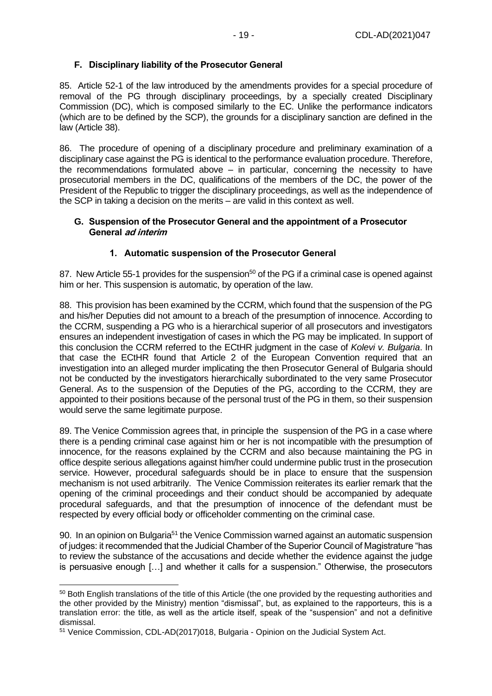#### <span id="page-18-0"></span>**F. Disciplinary liability of the Prosecutor General**

85. Article 52-1 of the law introduced by the amendments provides for a special procedure of removal of the PG through disciplinary proceedings, by a specially created Disciplinary Commission (DC), which is composed similarly to the EC. Unlike the performance indicators (which are to be defined by the SCP), the grounds for a disciplinary sanction are defined in the law (Article 38).

86. The procedure of opening of a disciplinary procedure and preliminary examination of a disciplinary case against the PG is identical to the performance evaluation procedure. Therefore, the recommendations formulated above – in particular, concerning the necessity to have prosecutorial members in the DC, qualifications of the members of the DC, the power of the President of the Republic to trigger the disciplinary proceedings, as well as the independence of the SCP in taking a decision on the merits – are valid in this context as well.

#### <span id="page-18-1"></span>**G. Suspension of the Prosecutor General and the appointment of a Prosecutor General ad interim**

#### **1. Automatic suspension of the Prosecutor General**

<span id="page-18-2"></span>87. New Article 55-1 provides for the suspension<sup>50</sup> of the PG if a criminal case is opened against him or her. This suspension is automatic, by operation of the law.

88. This provision has been examined by the CCRM, which found that the suspension of the PG and his/her Deputies did not amount to a breach of the presumption of innocence. According to the CCRM, suspending a PG who is a hierarchical superior of all prosecutors and investigators ensures an independent investigation of cases in which the PG may be implicated. In support of this conclusion the CCRM referred to the ECtHR judgment in the case of *Kolevi v. Bulgaria*. In that case the ECtHR found that Article 2 of the European Convention required that an investigation into an alleged murder implicating the then Prosecutor General of Bulgaria should not be conducted by the investigators hierarchically subordinated to the very same Prosecutor General. As to the suspension of the Deputies of the PG, according to the CCRM, they are appointed to their positions because of the personal trust of the PG in them, so their suspension would serve the same legitimate purpose.

89. The Venice Commission agrees that, in principle the suspension of the PG in a case where there is a pending criminal case against him or her is not incompatible with the presumption of innocence, for the reasons explained by the CCRM and also because maintaining the PG in office despite serious allegations against him/her could undermine public trust in the prosecution service. However, procedural safeguards should be in place to ensure that the suspension mechanism is not used arbitrarily. The Venice Commission reiterates its earlier remark that the opening of the criminal proceedings and their conduct should be accompanied by adequate procedural safeguards, and that the presumption of innocence of the defendant must be respected by every official body or officeholder commenting on the criminal case.

90. In an opinion on Bulgaria<sup>51</sup> the Venice Commission warned against an automatic suspension of judges: it recommended that the Judicial Chamber of the Superior Council of Magistrature "has to review the substance of the accusations and decide whether the evidence against the judge is persuasive enough […] and whether it calls for a suspension." Otherwise, the prosecutors

<sup>50</sup> Both English translations of the title of this Article (the one provided by the requesting authorities and the other provided by the Ministry) mention "dismissal", but, as explained to the rapporteurs, this is a translation error: the title, as well as the article itself, speak of the "suspension" and not a definitive dismissal.

<sup>51</sup> Venice Commission, CDL-AD(2017)018, Bulgaria - Opinion on the Judicial System Act.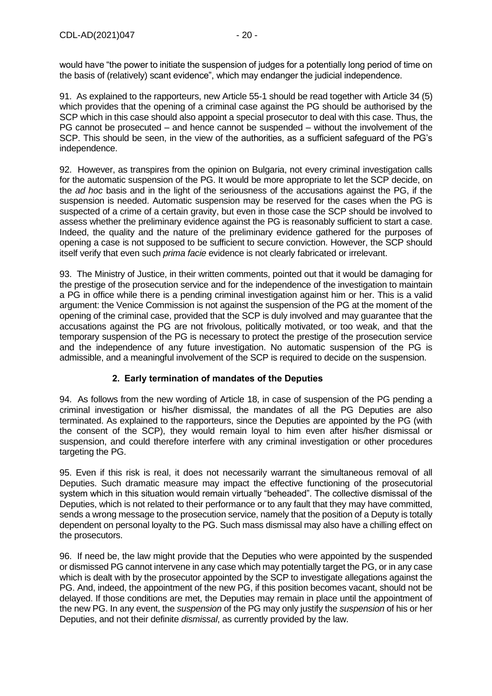would have "the power to initiate the suspension of judges for a potentially long period of time on the basis of (relatively) scant evidence", which may endanger the judicial independence.

91. As explained to the rapporteurs, new Article 55-1 should be read together with Article 34 (5) which provides that the opening of a criminal case against the PG should be authorised by the SCP which in this case should also appoint a special prosecutor to deal with this case. Thus, the PG cannot be prosecuted – and hence cannot be suspended – without the involvement of the SCP. This should be seen, in the view of the authorities, as a sufficient safeguard of the PG's independence.

92. However, as transpires from the opinion on Bulgaria, not every criminal investigation calls for the automatic suspension of the PG. It would be more appropriate to let the SCP decide, on the *ad hoc* basis and in the light of the seriousness of the accusations against the PG, if the suspension is needed. Automatic suspension may be reserved for the cases when the PG is suspected of a crime of a certain gravity, but even in those case the SCP should be involved to assess whether the preliminary evidence against the PG is reasonably sufficient to start a case. Indeed, the quality and the nature of the preliminary evidence gathered for the purposes of opening a case is not supposed to be sufficient to secure conviction. However, the SCP should itself verify that even such *prima facie* evidence is not clearly fabricated or irrelevant.

93. The Ministry of Justice, in their written comments, pointed out that it would be damaging for the prestige of the prosecution service and for the independence of the investigation to maintain a PG in office while there is a pending criminal investigation against him or her. This is a valid argument: the Venice Commission is not against the suspension of the PG at the moment of the opening of the criminal case, provided that the SCP is duly involved and may guarantee that the accusations against the PG are not frivolous, politically motivated, or too weak, and that the temporary suspension of the PG is necessary to protect the prestige of the prosecution service and the independence of any future investigation. No automatic suspension of the PG is admissible, and a meaningful involvement of the SCP is required to decide on the suspension.

#### **2. Early termination of mandates of the Deputies**

<span id="page-19-0"></span>94. As follows from the new wording of Article 18, in case of suspension of the PG pending a criminal investigation or his/her dismissal, the mandates of all the PG Deputies are also terminated. As explained to the rapporteurs, since the Deputies are appointed by the PG (with the consent of the SCP), they would remain loyal to him even after his/her dismissal or suspension, and could therefore interfere with any criminal investigation or other procedures targeting the PG.

95. Even if this risk is real, it does not necessarily warrant the simultaneous removal of all Deputies. Such dramatic measure may impact the effective functioning of the prosecutorial system which in this situation would remain virtually "beheaded". The collective dismissal of the Deputies, which is not related to their performance or to any fault that they may have committed, sends a wrong message to the prosecution service, namely that the position of a Deputy is totally dependent on personal loyalty to the PG. Such mass dismissal may also have a chilling effect on the prosecutors.

96. If need be, the law might provide that the Deputies who were appointed by the suspended or dismissed PG cannot intervene in any case which may potentially target the PG, or in any case which is dealt with by the prosecutor appointed by the SCP to investigate allegations against the PG. And, indeed, the appointment of the new PG, if this position becomes vacant, should not be delayed. If those conditions are met, the Deputies may remain in place until the appointment of the new PG. In any event, the *suspension* of the PG may only justify the *suspension* of his or her Deputies, and not their definite *dismissal*, as currently provided by the law.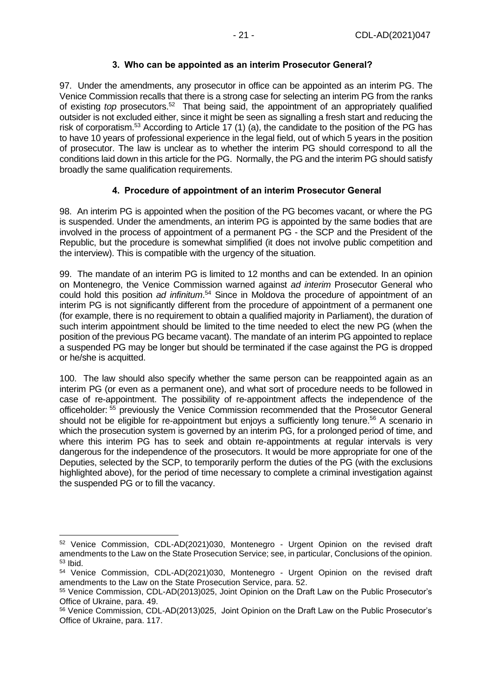#### **3. Who can be appointed as an interim Prosecutor General?**

<span id="page-20-0"></span>97. Under the amendments, any prosecutor in office can be appointed as an interim PG. The Venice Commission recalls that there is a strong case for selecting an interim PG from the ranks of existing *top* prosecutors.<sup>52</sup> That being said, the appointment of an appropriately qualified outsider is not excluded either, since it might be seen as signalling a fresh start and reducing the risk of corporatism.<sup>53</sup> According to Article 17 (1) (a), the candidate to the position of the PG has to have 10 years of professional experience in the legal field, out of which 5 years in the position of prosecutor. The law is unclear as to whether the interim PG should correspond to all the conditions laid down in this article for the PG. Normally, the PG and the interim PG should satisfy broadly the same qualification requirements.

#### **4. Procedure of appointment of an interim Prosecutor General**

<span id="page-20-1"></span>98. An interim PG is appointed when the position of the PG becomes vacant, or where the PG is suspended. Under the amendments, an interim PG is appointed by the same bodies that are involved in the process of appointment of a permanent PG - the SCP and the President of the Republic, but the procedure is somewhat simplified (it does not involve public competition and the interview). This is compatible with the urgency of the situation.

99. The mandate of an interim PG is limited to 12 months and can be extended. In an opinion on Montenegro, the Venice Commission warned against *ad interim* Prosecutor General who could hold this position *ad infinitum*. <sup>54</sup> Since in Moldova the procedure of appointment of an interim PG is not significantly different from the procedure of appointment of a permanent one (for example, there is no requirement to obtain a qualified majority in Parliament), the duration of such interim appointment should be limited to the time needed to elect the new PG (when the position of the previous PG became vacant). The mandate of an interim PG appointed to replace a suspended PG may be longer but should be terminated if the case against the PG is dropped or he/she is acquitted.

100. The law should also specify whether the same person can be reappointed again as an interim PG (or even as a permanent one), and what sort of procedure needs to be followed in case of re-appointment. The possibility of re-appointment affects the independence of the officeholder: <sup>55</sup> previously the Venice Commission recommended that the Prosecutor General should not be eligible for re-appointment but enjoys a sufficiently long tenure.<sup>56</sup> A scenario in which the prosecution system is governed by an interim PG, for a prolonged period of time, and where this interim PG has to seek and obtain re-appointments at regular intervals is very dangerous for the independence of the prosecutors. It would be more appropriate for one of the Deputies, selected by the SCP, to temporarily perform the duties of the PG (with the exclusions highlighted above), for the period of time necessary to complete a criminal investigation against the suspended PG or to fill the vacancy.

<sup>52</sup> Venice Commission, CDL-AD(2021)030, Montenegro - Urgent Opinion on the revised draft amendments to the Law on the State Prosecution Service; see, in particular, Conclusions of the opinion. <sup>53</sup> Ibid.

<sup>54</sup> Venice Commission, CDL-AD(2021)030, Montenegro - Urgent Opinion on the revised draft amendments to the Law on the State Prosecution Service, para. 52.

<sup>55</sup> Venice Commission, CDL-AD(2013)025, Joint Opinion on the Draft Law on the Public Prosecutor's Office of Ukraine, para. 49.

<sup>56</sup> Venice Commission, CDL-AD(2013)025, Joint Opinion on the Draft Law on the Public Prosecutor's Office of Ukraine, para. 117.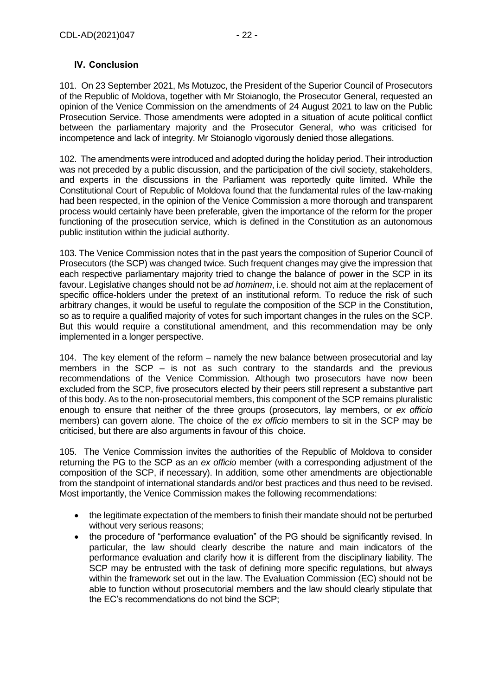#### <span id="page-21-0"></span>**IV. Conclusion**

101. On 23 September 2021, Ms Motuzoc, the President of the Superior Council of Prosecutors of the Republic of Moldova, together with Mr Stoianoglo, the Prosecutor General, requested an opinion of the Venice Commission on the amendments of 24 August 2021 to law on the Public Prosecution Service. Those amendments were adopted in a situation of acute political conflict between the parliamentary majority and the Prosecutor General, who was criticised for incompetence and lack of integrity. Mr Stoianoglo vigorously denied those allegations.

102. The amendments were introduced and adopted during the holiday period. Their introduction was not preceded by a public discussion, and the participation of the civil society, stakeholders, and experts in the discussions in the Parliament was reportedly quite limited. While the Constitutional Court of Republic of Moldova found that the fundamental rules of the law-making had been respected, in the opinion of the Venice Commission a more thorough and transparent process would certainly have been preferable, given the importance of the reform for the proper functioning of the prosecution service, which is defined in the Constitution as an autonomous public institution within the judicial authority.

103. The Venice Commission notes that in the past years the composition of Superior Council of Prosecutors (the SCP) was changed twice. Such frequent changes may give the impression that each respective parliamentary majority tried to change the balance of power in the SCP in its favour. Legislative changes should not be *ad hominem*, i.e. should not aim at the replacement of specific office-holders under the pretext of an institutional reform. To reduce the risk of such arbitrary changes, it would be useful to regulate the composition of the SCP in the Constitution, so as to require a qualified majority of votes for such important changes in the rules on the SCP. But this would require a constitutional amendment, and this recommendation may be only implemented in a longer perspective.

104. The key element of the reform – namely the new balance between prosecutorial and lay members in the SCP – is not as such contrary to the standards and the previous recommendations of the Venice Commission. Although two prosecutors have now been excluded from the SCP, five prosecutors elected by their peers still represent a substantive part of this body. As to the non-prosecutorial members, this component of the SCP remains pluralistic enough to ensure that neither of the three groups (prosecutors, lay members, or *ex officio* members) can govern alone. The choice of the *ex officio* members to sit in the SCP may be criticised, but there are also arguments in favour of this choice.

105. The Venice Commission invites the authorities of the Republic of Moldova to consider returning the PG to the SCP as an *ex officio* member (with a corresponding adjustment of the composition of the SCP, if necessary). In addition, some other amendments are objectionable from the standpoint of international standards and/or best practices and thus need to be revised. Most importantly, the Venice Commission makes the following recommendations:

- the legitimate expectation of the members to finish their mandate should not be perturbed without very serious reasons;
- the procedure of "performance evaluation" of the PG should be significantly revised. In particular, the law should clearly describe the nature and main indicators of the performance evaluation and clarify how it is different from the disciplinary liability. The SCP may be entrusted with the task of defining more specific regulations, but always within the framework set out in the law. The Evaluation Commission (EC) should not be able to function without prosecutorial members and the law should clearly stipulate that the EC's recommendations do not bind the SCP;